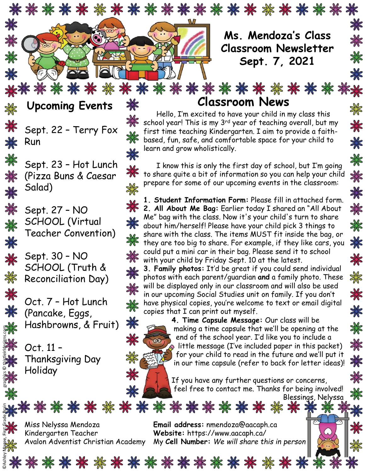

**Upcoming Events Classroom News** ※

Sept. 22 – Terry Fox Run

₩

黑

₩

器

彩

\*

\*

₩

₩

Sept. 23 – Hot Lunch ₩ (Pizza Buns & Caesar Salad)

> Sept. 27 – NO SCHOOL (Virtual Teacher Convention)

Sept. 30 – NO SCHOOL (Truth & Reconciliation Day)

Oct. 7 – Hot Lunch (Pancake, Eggs, Hashbrowns, & Fruit)

Oct. 11 – Thanksgiving Day Holiday

₩

₩

<del></del>

₩

☀

₩

₩

₩

₩

☀

₩

₩

₩

☀

☀

☀

☀

₩

Hello, I'm excited to have your child in my class this school year! This is my 3<sup>rd</sup> year of teaching overall, but my first time teaching Kindergarten. I aim to provide a faithbased, fun, safe, and comfortable space for your child to learn and grow wholistically.

I know this is only the first day of school, but I'm going to share quite a bit of information so you can help your child prepare for some of our upcoming events in the classroom:

**1. Student Information Form:** Please fill in attached form. **2. All About Me Bag:** Earlier today I shared an "All About Me" bag with the class. Now it's your child's turn to share about him/herself! Please have your child pick 3 things to share with the class. The items MUST fit inside the bag, or they are too big to share. For example, if they like cars, you could put a mini car in their bag. Please send it to school with your child by Friday Sept. 10 at the latest.

**3. Family photos:** It'd be great if you could send individual photos with each parent/guardian **and** a family photo. These will be displayed only in our classroom and will also be used in our upcoming Social Studies unit on family. If you don't have physical copies, you're welcome to text or email digital copies that I can print out myself.



.\*\*\*\*\*\*\*\*\*\*\*\*\*\*\*\*\*\*\*\*\*

**4. Time Capsule Message:** Our class will be making a time capsule that we'll be opening at the end of the school year. I'd like you to include a  $\bullet$  little message (I've included paper in this packet) for your child to read in the future and we'll put it in our time capsule (refer to back for letter ideas)!

If you have any further questions or concerns, feel free to contact me. Thanks for being involved! Blessings, Nelyssa

Kindergarten Teacher **Website:** https://www.aacaph.ca/

Miss Nelyssa Mendoza **Email address:** nmendoza@aacaph.ca Avalon Adventist Christian Academy My **Cell Number:** *We will share this in person*